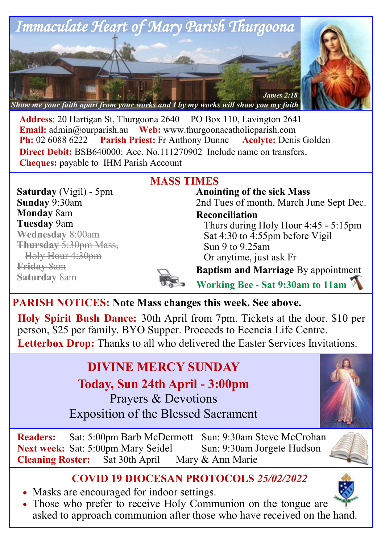

Address: 20 Hartigan St, Thurgoona 2640 PO Box 110, Lavington 2641 **Email:** [admin@ourparish.au](mailto:admin@ourparish.au) Web: www.thurgoonacatholicparish.com **Ph:** 02 6088 6222 **Parish Priest:** Fr Anthony Dunne **Acolyte:** Denis Golden **Direct Debit: BSB640000: Acc. No.111270902** Include name on transfers. **Cheques:** payable to IHM Parish Account

# **MASS TIMES**

**Saturday** (Vigil) - 5pm **Sunday** 9:30am **Monday** 8am **Tuesday** 9am **Wednesday** 8:00am **Thursday** 5:30pm Mass, Holy Hour 4:30pm **Friday** 8am **Saturday** 8am

**Anointing of the sick Mass** 2nd Tues of month, March June Sept Dec.

**Reconciliation** 

Thurs during Holy Hour 4:45 - 5:15pm Sat 4:30 to 4:55pm before Vigil Sun 9 to 9.25am Or anytime, just ask Fr

**Baptism and Marriage** By appointment

**Working Bee - Sat 9:30am to 11am**

## **PARISH NOTICES: Note Mass changes this week. See above.**

**Holy Spirit Bush Dance:** 30th April from 7pm. Tickets at the door. \$10 per person, \$25 per family. BYO Supper. Proceeds to Ecencia Life Centre. Letterbox Drop: Thanks to all who delivered the Easter Services Invitations.

# **DIVINE MERCY SUNDAY**

**Today, Sun 24th April - 3:00pm**  Prayers & Devotions Exposition of the Blessed Sacrament



## **COVID 19 DIOCESAN PROTOCOLS** *25/02/2022*

- Masks are encouraged for indoor settings.
- Those who prefer to receive Holy Communion on the tongue are asked to approach communion after those who have received on the hand.

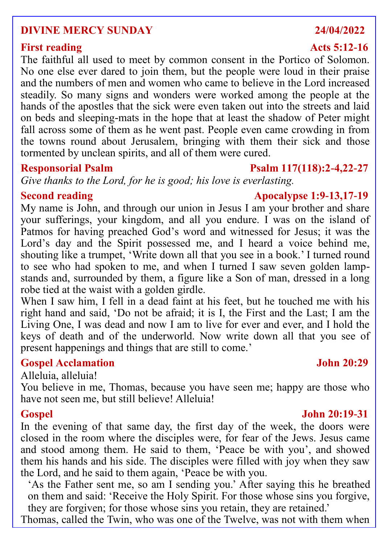### **DIVINE MERCY SUNDAY 24/04/2022**

### **First reading Acts 5:12-16**

The faithful all used to meet by common consent in the Portico of Solomon. No one else ever dared to join them, but the people were loud in their praise and the numbers of men and women who came to believe in the Lord increased steadily. So many signs and wonders were worked among the people at the hands of the apostles that the sick were even taken out into the streets and laid on beds and sleeping-mats in the hope that at least the shadow of Peter might fall across some of them as he went past. People even came crowding in from the towns round about Jerusalem, bringing with them their sick and those tormented by unclean spirits, and all of them were cured.

### **Responsorial Psalm Psalm 117(118):2-4,22-27**

*Give thanks to the Lord, for he is good; his love is everlasting.*

### **Second reading Apocalypse 1:9-13,17-19**

My name is John, and through our union in Jesus I am your brother and share your sufferings, your kingdom, and all you endure. I was on the island of Patmos for having preached God's word and witnessed for Jesus; it was the Lord's day and the Spirit possessed me, and I heard a voice behind me, shouting like a trumpet, 'Write down all that you see in a book.' I turned round to see who had spoken to me, and when I turned I saw seven golden lampstands and, surrounded by them, a figure like a Son of man, dressed in a long robe tied at the waist with a golden girdle.

When I saw him, I fell in a dead faint at his feet, but he touched me with his right hand and said, 'Do not be afraid; it is I, the First and the Last; I am the Living One, I was dead and now I am to live for ever and ever, and I hold the keys of death and of the underworld. Now write down all that you see of present happenings and things that are still to come.'

### **Gospel Acclamation John 20:29**

Alleluia, alleluia!

You believe in me, Thomas, because you have seen me; happy are those who have not seen me, but still believe! Alleluia!

In the evening of that same day, the first day of the week, the doors were closed in the room where the disciples were, for fear of the Jews. Jesus came and stood among them. He said to them, 'Peace be with you', and showed them his hands and his side. The disciples were filled with joy when they saw the Lord, and he said to them again, 'Peace be with you.

'As the Father sent me, so am I sending you.' After saying this he breathed on them and said: 'Receive the Holy Spirit. For those whose sins you forgive, they are forgiven; for those whose sins you retain, they are retained.'

Thomas, called the Twin, who was one of the Twelve, was not with them when

### **Gospel John 20:19-31**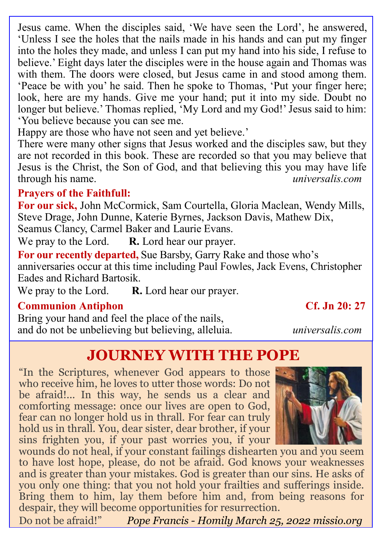Jesus came. When the disciples said, 'We have seen the Lord', he answered, 'Unless I see the holes that the nails made in his hands and can put my finger into the holes they made, and unless I can put my hand into his side, I refuse to believe.' Eight days later the disciples were in the house again and Thomas was with them. The doors were closed, but Jesus came in and stood among them. 'Peace be with you' he said. Then he spoke to Thomas, 'Put your finger here; look, here are my hands. Give me your hand; put it into my side. Doubt no longer but believe.' Thomas replied, 'My Lord and my God!' Jesus said to him: 'You believe because you can see me.

Happy are those who have not seen and yet believe.'

There were many other signs that Jesus worked and the disciples saw, but they are not recorded in this book. These are recorded so that you may believe that Jesus is the Christ, the Son of God, and that believing this you may have life through his name. *universalis.com*

### **Prayers of the Faithfull:**

**For our sick,** John McCormick, Sam Courtella, Gloria Maclean, Wendy Mills, Steve Drage, John Dunne, Katerie Byrnes, Jackson Davis, Mathew Dix, Seamus Clancy, Carmel Baker and Laurie Evans.

We pray to the Lord. **R.** Lord hear our prayer.

**For our recently departed,** Sue Barsby, Garry Rake and those who's anniversaries occur at this time including Paul Fowles, Jack Evens, Christopher Eades and Richard Bartosik.

We pray to the Lord. **R.** Lord hear our prayer.

### **Communion Antiphon Cf. Jn 20: 27**

Bring your hand and feel the place of the nails, and do not be unbelieving but believing, alleluia. *universalis.com*

# **JOURNEY WITH THE POPE**

"In the Scriptures, whenever God appears to those who receive him, he loves to utter those words: Do not be afraid!... In this way, he sends us a clear and comforting message: once our lives are open to God, fear can no longer hold us in thrall. For fear can truly hold us in thrall. You, dear sister, dear brother, if your sins frighten you, if your past worries you, if your



wounds do not heal, if your constant failings dishearten you and you seem to have lost hope, please, do not be afraid. God knows your weaknesses and is greater than your mistakes. God is greater than our sins. He asks of you only one thing: that you not hold your frailties and sufferings inside. Bring them to him, lay them before him and, from being reasons for despair, they will become opportunities for resurrection.

Do not be afraid!" *Pope Francis - Homily March 25, 2022 missio.org*